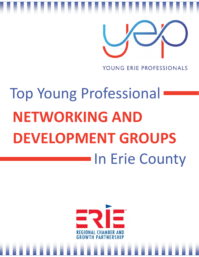

# Top Young Professional **NETWORKING AND DEVELOPMENT GROUPS In Erie County**

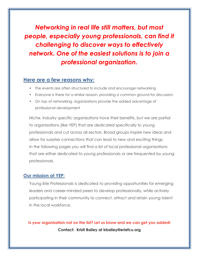*Networking in real life still matters, but most people, especially young professionals, can find it challenging to discover ways to effectively network. One of the easiest solutions is to join a professional organization.*

# **Here are a few reasons why:**

- The events are often structured to include and encourage networking
- Everyone is there for a similar reason, providing a common ground for discussion
- On top of networking, organizations provide the added advantage of professional development

Niche, industry specific organizations have their benefits, but we are partial to organizations (like YEP) that are dedicated specifically to young professionals and cut across all sectors. Broad groups inspire new ideas and allow for surprise connections that can lead to new and exciting things. In the following pages you will find a list of local professional organizations that are either dedicated to young professionals or are frequented by young professionals.

# **Our mission at YEP:**

Young Erie Professionals is dedicated to providing opportunities for emerging leaders and career-minded peers to develop professionally, while actively participating in their community to connect, attract and retain young talent in the local workforce.

**Is your organization not on the list? Let us know and we can get you added! Contact: Kristi Bailey at kbailey@eriefcu.org**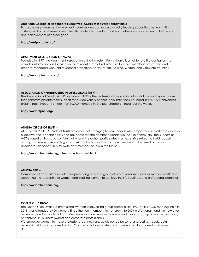# **American College of Healthcare Executives (ACHE) of Western Pennsylvania** –

To create an environment where healthcare leaders can access industry-leading education, network with colleagues from a diverse base of healthcare leaders, and support each other in advancement to Fellow status and achievement of career goals.

# **http://westpa.ache.org/**

# **APARTMENT ASSOCIATION OF NWPA** –

Founded in 1977, the Apartment Association of Northwestern Pennsylvania is a not-for-profit organization that provides information and services in the residential rental industry. Our 1500 plus members are owners and property managers who rent residential property in Northwestern, PA (Erie, Warren, and Crawford counties).

**http://www.aptassoc.com/**

# **ASSOCIATION OF FUNDRAISING PROFESSIONALS (AFP)** –

The Association of Fundraising Professionals (AFP) is the professional association of individuals and organizations that generate philanthropic support for a wide variety of charitable institutions. Founded in 1960, AFP advances philanthropy through its more than 30,000 members in 240-plus chapters throughout the world.

## **http://www.afpnet.org/**

# **ATHENA CIRCLE OF TRUST** –

ACT I and II (ATHENA Circle of Trust) are cohorts of emerging female leaders who empower each other to develop executive and leadership skills and advocate for one another as leaders in the Erie community. The success of ACT is based on trust and confidentiality, and the cohort participates in an extensive retreat to build rapport among its members. Accordingly, both ACT cohorts are closed to new members at this time. Each cohort anticipates an opportunity to invite new members to join in the future.

#### **http://www.athenaerie.org/athena-circle-of-trust.html**

#### **ATHENA ERIE** –

Comprised of dedicated volunteers representing a diverse group of professional men and women committed to supporting the leadership of women and inspiring women to achieve their full business and professional potential.

**http://www.athenaerie.org/**

# **COFFEE CLUB DIVAS** –

The Coffee Club Divas is a professional women's networking group based in Erie, PA. The first CCD meeting, held in 2011, was attended by 20 women. Since then our membership has grown to 200+ professionals, and we now offer networking and educational opportunities worldwide. We are a diverse and dynamic group of women, including entrepreneurs, business owners and corporate professionals.

We empower women to make professional connections, boldly pursue personal and business goals, gain networking skills and business training. Our mission is to educate and inspire women to succeed in all aspects of life!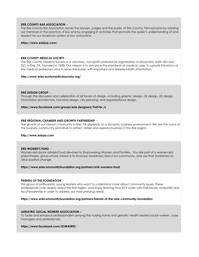# **ERIE COUNTY BAR ASSOCIATION** –

The Erie County Bar Association serves the lawyers, judges and the public of Erie County, Pennsylvania by assisting our members in the practice of law and by engaging in activities that promote the public's understanding of and respect for our American system of law and justice.

#### **https://www.eriebar.com/**

#### **ERIE COUNTY MEDICAL SOCIETY** –

The Erie County Medical Society is a voluntary, non-profit professional organization of physicians, both MD and DO, in Erie, PA, founded in 1828. Our mission is to advance the standards of medical care, to uphold the ethics of the medical profession, and to serve the public with important and reliable health information.

# **http://www.eriecountymedicalsociety.org/**

# **ERIE DESIGN GROUP** –

Through the discussion and celebration of all facets of design, including graphic design, UX design, UX design, information architecture, industrial design, city planning, and organizational design.

# **https://www.facebook.com/groups/erie.designers/?ref=br\_rs**

## **ERIE REGIONAL CHAMBER AND GROWTH PARTNERSHIP** –

The growth of our vibrant community in Erie, PA depends on a dynamic business environment. We are the voice of the business community and strive to attract, retain and expand business in the Erie region.

# **http://www.eriepa.com**

# **ERIE WOMEN'S FUND** –

Women-led donor advised fund devoted to Empowering Women and Families. You are part of a women-led philanthropic group whose mission is to increase awareness about our community, and use that awareness to drive positive change.

# **https://www.eriecommunityfoundation.org/partners/erie-womens-fund**

# **FRIENDS OF THE FOUNDATION** –

This group of enthusiastic young leaders who want to understand more about community issues. These professionals care deeply about the Erie region, and enjoy learning how ECF works with individuals, nonprofits and local leadership in order to address our most pressing needs.

#### **https://www.eriecommunityfoundation.org/partners/friends-of-the-erie-community-foundation**

# **GERIATRIC SOCIAL WORKER ASSOCIATION –**

To foster and enhance professionalism among the nursing home and geriatric health related social workers, case managers and professionals.

## **https://www.facebook.com/GSWAERIE/**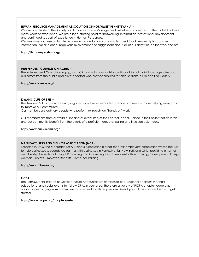# **HUMAN RESOURCE MANAGEMENT ASSOCIATION OF NORTHWEST PENNSYLVANIA** –

We are an affiliate of the Society for Human Resource Management. Whether you are new to the HR field or have many years of experience, we are a local starting point for networking, information, professional development and continued support of excellence in Human Resources.

We welcome your use of this site as a resource, and encourage you to check back frequently for updated information. We also encourage your involvement and suggestions about all of our activities, on the web and off.

# **https://hrmanwpa.shrm.org/**

# **INDEPENDENT COUNCIL ON AGING** –

The Independent Council on Aging, Inc. (ICA) is a voluntary, not-for-profit coalition of individuals, agencies and businesses from the public and private sectors who provide services to senior citizens in Erie and Erie County.

**http://www.icaerie.org/**

## **KIWANIS CLUB OF ERIE** –

The Kiwanis Club of Erie is a thriving organization of service-minded woman and men who are helping every day to improve our community.

Our members are ordinary people who perform extraordinary "hands-on" work.

Our members are from all walks of life and at every step of their career ladder, unified in their belief that children and our community benefit from the efforts of a proficient group of caring and involved volunteers.

#### **http://www.eriekiwanis.org/**

# **MANUFACTURERS AND BUSINESS ASSOCIATION (MBA)** –

Founded in 1905, the Manufacturer & Business Association is a not-for-profit employers' association whose focus is to help businesses succeed. We partner with businesses in Pennsylvania, New York and Ohio, providing a host of membership benefits including; HR Planning and Consulting, Legal Services/Hotline, Training/Development, Energy Advisors, Surveys, Employee Benefits, Computer Training.

# **http://www.mbausa.org**

## **PICPA** –

The Pennsylvania Institute of Certified Public Accountants is composed of 11 regional chapters that host educational and social events for fellow CPAs in your area. There are a variety of PICPA chapter leadership opportunities ranging from committee involvement to officer positions. Select your PICPA chapter below to get started.

#### **https://www.picpa.org/chapters/erie**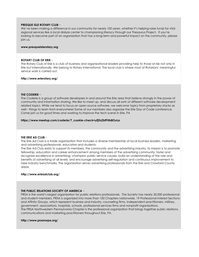# **PRESQUE ISLE ROTARY CLUB** –

We've been making a difference in our community for nearly 100 years, whether it's helping raise funds for vital regional services like a local dialysis center to championing literacy through our Thesaurus Project. If you're looking to become part of an organization that has a long-term and powerful impact on the community, please join us.

#### **www.presqueislerotary.org**

## **ROTARY CLUB OF ERIE** –

The Rotary Club of Erie is a club of business and organizational leaders providing help to those at risk not only in Erie but internationally. We belong to Rotary International. The local club is where most of Rotarians' meaningful service work is carried out.

## **http://www.erierotary.org/**

# **THE CODERIE** –

The Coderie is a group of software developers in and around the Erie area that believe strongly in the power of community and information sharing. We like to meet up. and discuss all sorts of different software development related topics. While we tend to focus on open source software, we welcome topics from proprietary stacks as well - things to learn from everywhere! Some of our members also organize the Erie Day of Code conference. Come join us for good times and working to improve the tech scene in Erie, PA

## **https://www.meetup.com/coderie/?\_cookie-check=yfjDzZbfFHb8OuLa**

# **THE ERIE AD CLUB** –

The Erie Ad Club is a trade organization that includes a diverse membership of local business leaders, marketing and advertising professionals, educators and students.

The Erie Ad Club exists to support its members, the community and the advertising industry. Its mission is to promote fellowship, education and career enhancement among members of the advertising community; foster and recognize excellence in advertising; champion public service causes; build an understanding of the role and benefits of advertising at all levels; and encourage advertising self-regulation and continuous improvement to raise industry benchmarks. The organization serves advertising professionals from the Erie and Crawford County areas.

# **http://www.erieadclub.org/**

#### **THE PUBLIC RELATIONS SOCIETY OF AMERICA** –

PRSA is the world's largest organization for public relations professionals. The Society has nearly 32,000 professional and student members. PRSA is organized into more than 100 Chapters nationwide, 19 Professional Interest Sections and Affinity Groups, which represent business and industry, counseling firms, independent practitioners, military, government, associations, hospitals, schools, professional services firms and nonprofit organizations. The PRSA Northwestern Pennsylvania Chapter is the professional organization that brings together public relations, communications and marketing practitioners throughout Erie, PA.

#### **http://www.prsanwpa.org/**